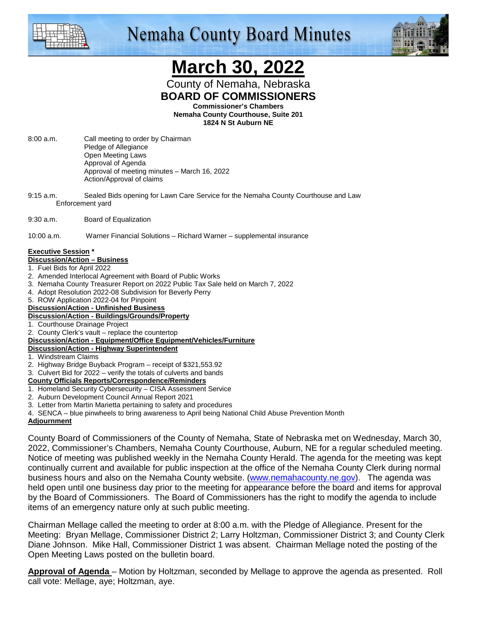

# **Nemaha County Board Minutes**



# **March 30, 2022**

County of Nemaha, Nebraska **BOARD OF COMMISSIONERS** 

**Commissioner's Chambers** 

**Nemaha County Courthouse, Suite 201 1824 N St Auburn NE** 

- 8:00 a.m. Call meeting to order by Chairman Pledge of Allegiance Open Meeting Laws Approval of Agenda Approval of meeting minutes – March 16, 2022 Action/Approval of claims
- 9:15 a.m. Sealed Bids opening for Lawn Care Service for the Nemaha County Courthouse and Law Enforcement yard
- 9:30 a.m. Board of Equalization

10:00 a.m. Warner Financial Solutions – Richard Warner – supplemental insurance

#### **Executive Session \***

#### **Discussion/Action – Business**

- 1. Fuel Bids for April 2022
- 2. Amended Interlocal Agreement with Board of Public Works
- 3. Nemaha County Treasurer Report on 2022 Public Tax Sale held on March 7, 2022
- 4. Adopt Resolution 2022-08 Subdivision for Beverly Perry
- 5. ROW Application 2022-04 for Pinpoint

#### **Discussion/Action - Unfinished Business Discussion/Action - Buildings/Grounds/Property**

- 1. Courthouse Drainage Project
- 2. County Clerk's vault replace the countertop

**Discussion/Action - Equipment/Office Equipment/Vehicles/Furniture**

#### **Discussion/Action - Highway Superintendent**

- 1. Windstream Claims
- 2. Highway Bridge Buyback Program receipt of \$321,553.92
- 3. Culvert Bid for 2022 verify the totals of culverts and bands
- **County Officials Reports/Correspondence/Reminders**
- 1. Homeland Security Cybersecurity CISA Assessment Service
- 2. Auburn Development Council Annual Report 2021
- 3. Letter from Martin Marietta pertaining to safety and procedures
- 4. SENCA blue pinwheels to bring awareness to April being National Child Abuse Prevention Month

### **Adjournment**

County Board of Commissioners of the County of Nemaha, State of Nebraska met on Wednesday, March 30, 2022, Commissioner's Chambers, Nemaha County Courthouse, Auburn, NE for a regular scheduled meeting. Notice of meeting was published weekly in the Nemaha County Herald. The agenda for the meeting was kept continually current and available for public inspection at the office of the Nemaha County Clerk during normal business hours and also on the Nemaha County website. (www.nemahacounty.ne.gov). The agenda was held open until one business day prior to the meeting for appearance before the board and items for approval by the Board of Commissioners. The Board of Commissioners has the right to modify the agenda to include items of an emergency nature only at such public meeting.

Chairman Mellage called the meeting to order at 8:00 a.m. with the Pledge of Allegiance. Present for the Meeting: Bryan Mellage, Commissioner District 2; Larry Holtzman, Commissioner District 3; and County Clerk Diane Johnson. Mike Hall, Commissioner District 1 was absent. Chairman Mellage noted the posting of the Open Meeting Laws posted on the bulletin board.

**Approval of Agenda** – Motion by Holtzman, seconded by Mellage to approve the agenda as presented. Roll call vote: Mellage, aye; Holtzman, aye.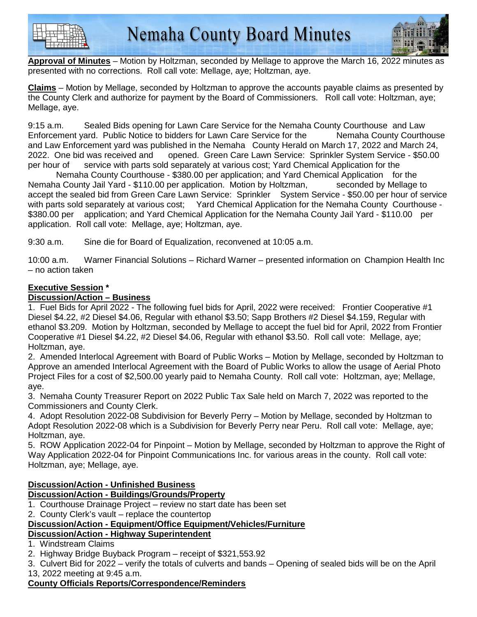



**Approval of Minutes** – Motion by Holtzman, seconded by Mellage to approve the March 16, 2022 minutes as presented with no corrections. Roll call vote: Mellage, aye; Holtzman, aye.

**Claims** – Motion by Mellage, seconded by Holtzman to approve the accounts payable claims as presented by the County Clerk and authorize for payment by the Board of Commissioners. Roll call vote: Holtzman, aye; Mellage, aye.

9:15 a.m. Sealed Bids opening for Lawn Care Service for the Nemaha County Courthouse and Law Enforcement yard. Public Notice to bidders for Lawn Care Service for the Nemaha County Courthouse and Law Enforcement yard was published in the Nemaha County Herald on March 17, 2022 and March 24, 2022. One bid was received and opened. Green Care Lawn Service: Sprinkler System Service - \$50.00 per hour of service with parts sold separately at various cost; Yard Chemical Application for the

 Nemaha County Courthouse - \$380.00 per application; and Yard Chemical Application for the Nemaha County Jail Yard - \$110.00 per application. Motion by Holtzman, seconded by Mellage to accept the sealed bid from Green Care Lawn Service: Sprinkler System Service - \$50.00 per hour of service with parts sold separately at various cost; Yard Chemical Application for the Nemaha County Courthouse -\$380.00 per application; and Yard Chemical Application for the Nemaha County Jail Yard - \$110.00 per application. Roll call vote: Mellage, aye; Holtzman, aye.

9:30 a.m. Sine die for Board of Equalization, reconvened at 10:05 a.m.

10:00 a.m. Warner Financial Solutions – Richard Warner – presented information on Champion Health Inc – no action taken

# **Executive Session \***

## **Discussion/Action – Business**

1. Fuel Bids for April 2022 - The following fuel bids for April, 2022 were received: Frontier Cooperative #1 Diesel \$4.22, #2 Diesel \$4.06, Regular with ethanol \$3.50; Sapp Brothers #2 Diesel \$4.159, Regular with ethanol \$3.209. Motion by Holtzman, seconded by Mellage to accept the fuel bid for April, 2022 from Frontier Cooperative #1 Diesel \$4.22, #2 Diesel \$4.06, Regular with ethanol \$3.50. Roll call vote: Mellage, aye; Holtzman, aye.

2. Amended Interlocal Agreement with Board of Public Works – Motion by Mellage, seconded by Holtzman to Approve an amended Interlocal Agreement with the Board of Public Works to allow the usage of Aerial Photo Project Files for a cost of \$2,500.00 yearly paid to Nemaha County. Roll call vote: Holtzman, aye; Mellage, aye.

3. Nemaha County Treasurer Report on 2022 Public Tax Sale held on March 7, 2022 was reported to the Commissioners and County Clerk.

4. Adopt Resolution 2022-08 Subdivision for Beverly Perry – Motion by Mellage, seconded by Holtzman to Adopt Resolution 2022-08 which is a Subdivision for Beverly Perry near Peru. Roll call vote: Mellage, aye; Holtzman, aye.

5. ROW Application 2022-04 for Pinpoint – Motion by Mellage, seconded by Holtzman to approve the Right of Way Application 2022-04 for Pinpoint Communications Inc. for various areas in the county. Roll call vote: Holtzman, aye; Mellage, aye.

#### **Discussion/Action - Unfinished Business Discussion/Action - Buildings/Grounds/Property**

- 1. Courthouse Drainage Project review no start date has been set
- 2. County Clerk's vault replace the countertop

# **Discussion/Action - Equipment/Office Equipment/Vehicles/Furniture**

# **Discussion/Action - Highway Superintendent**

- 1. Windstream Claims
- 2. Highway Bridge Buyback Program receipt of \$321,553.92

3. Culvert Bid for 2022 – verify the totals of culverts and bands – Opening of sealed bids will be on the April 13, 2022 meeting at 9:45 a.m.

# **County Officials Reports/Correspondence/Reminders**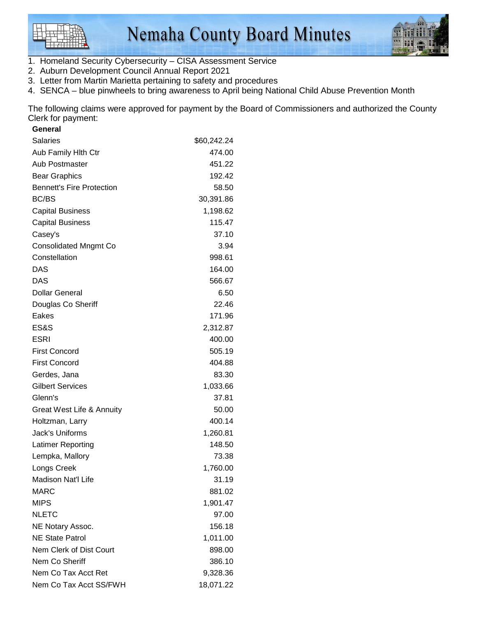



- 1. Homeland Security Cybersecurity CISA Assessment Service
- 2. Auburn Development Council Annual Report 2021
- 3. Letter from Martin Marietta pertaining to safety and procedures
- 4. SENCA blue pinwheels to bring awareness to April being National Child Abuse Prevention Month

The following claims were approved for payment by the Board of Commissioners and authorized the County Clerk for payment:

| General                          |             |
|----------------------------------|-------------|
| <b>Salaries</b>                  | \$60,242.24 |
| Aub Family Hlth Ctr              | 474.00      |
| Aub Postmaster                   | 451.22      |
| <b>Bear Graphics</b>             | 192.42      |
| <b>Bennett's Fire Protection</b> | 58.50       |
| BC/BS                            | 30,391.86   |
| <b>Capital Business</b>          | 1,198.62    |
| <b>Capital Business</b>          | 115.47      |
| Casey's                          | 37.10       |
| <b>Consolidated Mngmt Co</b>     | 3.94        |
| Constellation                    | 998.61      |
| DAS                              | 164.00      |
| DAS                              | 566.67      |
| <b>Dollar General</b>            | 6.50        |
| Douglas Co Sheriff               | 22.46       |
| Eakes                            | 171.96      |
| ES&S                             | 2,312.87    |
| <b>ESRI</b>                      | 400.00      |
| <b>First Concord</b>             | 505.19      |
| <b>First Concord</b>             | 404.88      |
| Gerdes, Jana                     | 83.30       |
| <b>Gilbert Services</b>          | 1,033.66    |
| Glenn's                          | 37.81       |
| Great West Life & Annuity        | 50.00       |
| Holtzman, Larry                  | 400.14      |
| Jack's Uniforms                  | 1,260.81    |
| Latimer Reporting                | 148.50      |
| Lempka, Mallory                  | 73.38       |
| Longs Creek                      | 1,760.00    |
| Madison Nat'l Life               | 31.19       |
| <b>MARC</b>                      | 881.02      |
| <b>MIPS</b>                      | 1,901.47    |
| <b>NLETC</b>                     | 97.00       |
| NE Notary Assoc.                 | 156.18      |
| <b>NE State Patrol</b>           | 1,011.00    |
| Nem Clerk of Dist Court          | 898.00      |
| Nem Co Sheriff                   | 386.10      |
| Nem Co Tax Acct Ret              | 9,328.36    |
| Nem Co Tax Acct SS/FWH           | 18,071.22   |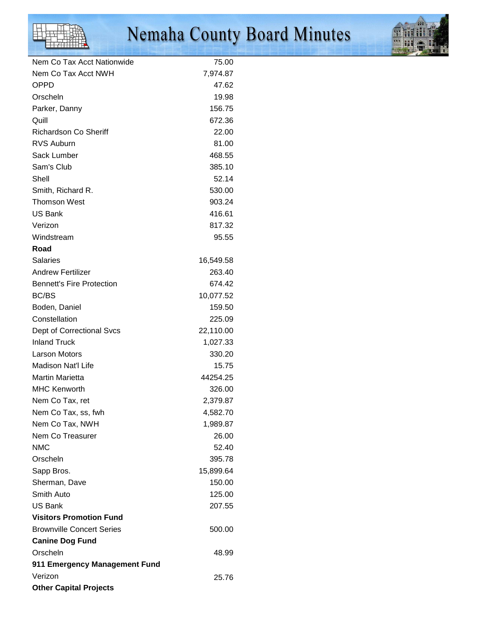

# Nemaha County Board Minutes



| Nem Co Tax Acct Nationwide       | 75.00     |
|----------------------------------|-----------|
| Nem Co Tax Acct NWH              | 7,974.87  |
| <b>OPPD</b>                      | 47.62     |
| Orscheln                         | 19.98     |
| Parker, Danny                    | 156.75    |
| Quill                            | 672.36    |
| <b>Richardson Co Sheriff</b>     | 22.00     |
| <b>RVS Auburn</b>                | 81.00     |
| Sack Lumber                      | 468.55    |
| Sam's Club                       | 385.10    |
| Shell                            | 52.14     |
| Smith, Richard R.                | 530.00    |
| <b>Thomson West</b>              | 903.24    |
| <b>US Bank</b>                   | 416.61    |
| Verizon                          | 817.32    |
| Windstream                       | 95.55     |
| Road                             |           |
| <b>Salaries</b>                  | 16,549.58 |
| <b>Andrew Fertilizer</b>         | 263.40    |
| <b>Bennett's Fire Protection</b> | 674.42    |
| BC/BS                            | 10,077.52 |
| Boden, Daniel                    | 159.50    |
| Constellation                    | 225.09    |
| Dept of Correctional Svcs        | 22,110.00 |
| <b>Inland Truck</b>              | 1,027.33  |
| <b>Larson Motors</b>             | 330.20    |
| Madison Nat'l Life               | 15.75     |
| <b>Martin Marietta</b>           | 44254.25  |
| <b>MHC Kenworth</b>              | 326.00    |
| Nem Co Tax, ret                  | 2,379.87  |
| Nem Co Tax, ss, fwh              | 4,582.70  |
| Nem Co Tax, NWH                  | 1,989.87  |
| Nem Co Treasurer                 | 26.00     |
| <b>NMC</b>                       | 52.40     |
| Orscheln                         | 395.78    |
| Sapp Bros.                       | 15,899.64 |
| Sherman, Dave                    | 150.00    |
| Smith Auto                       | 125.00    |
| <b>US Bank</b>                   | 207.55    |
| <b>Visitors Promotion Fund</b>   |           |
| <b>Brownville Concert Series</b> | 500.00    |
| <b>Canine Dog Fund</b>           |           |
| Orscheln                         | 48.99     |
| 911 Emergency Management Fund    |           |
| Verizon                          |           |
| <b>Other Capital Projects</b>    | 25.76     |
|                                  |           |